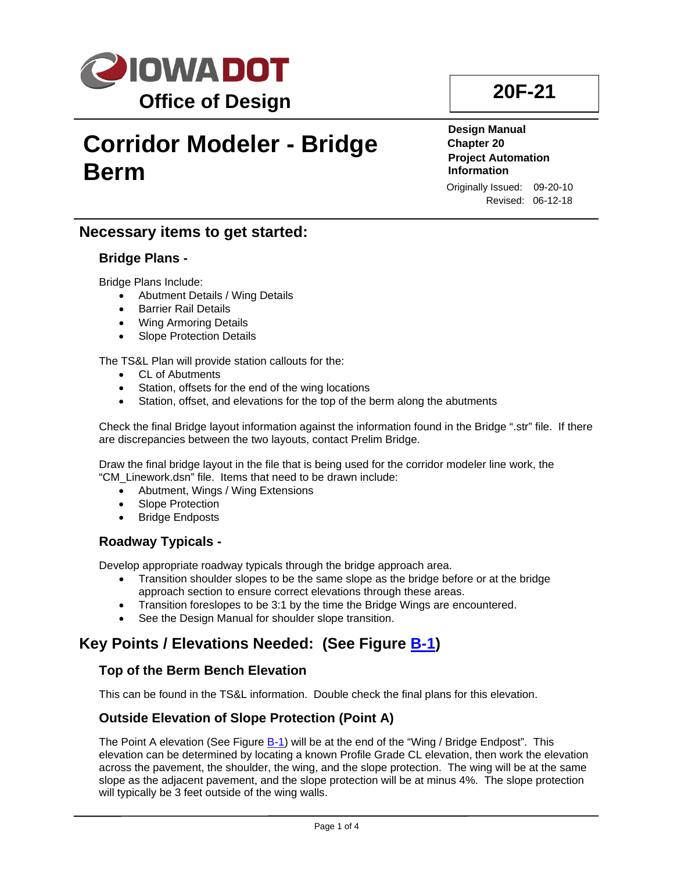

# **Ne Berm Corridor Modeler - Bridge**

**20F-21**

**Design Manual Chapter 20 Project Automation Information** Originally Issued: 09-20-10 Revised: 06-12-18

#### **Necessary items to get started:**

#### **Bridge Plans -**

Bridge Plans Include:

- Abutment Details / Wing Details
- Barrier Rail Details
- Wing Armoring Details
- Slope Protection Details

#### The TS&L Plan will provide station callouts for the:

- CL of Abutments
- Station, offsets for the end of the wing locations
- Station, offset, and elevations for the top of the berm along the abutments

Check the final Bridge layout information against the information found in the Bridge ".str" file. If there are discrepancies between the two layouts, contact Prelim Bridge.

Draw the final bridge layout in the file that is being used for the corridor modeler line work, the "CM\_Linework.dsn" file. Items that need to be drawn include:

- Abutment, Wings / Wing Extensions
- Slope Protection
- Bridge Endposts

#### **Roadway Typicals -**

Develop appropriate roadway typicals through the bridge approach area.

- Transition shoulder slopes to be the same slope as the bridge before or at the bridge approach section to ensure correct elevations through these areas.
- Transition foreslopes to be 3:1 by the time the Bridge Wings are encountered.
- See the Design Manual for shoulder slope transition.

#### **Key Points / Elevations Needed: (See Figure [B-1\)](#page-2-0)**

#### **Top of the Berm Bench Elevation**

This can be found in the TS&L information. Double check the final plans for this elevation.

#### **Outside Elevation of Slope Protection (Point A)**

The Point A elevation (See Figure [B-1\)](#page-2-0) will be at the end of the "Wing / Bridge Endpost". This elevation can be determined by locating a known Profile Grade CL elevation, then work the elevation across the pavement, the shoulder, the wing, and the slope protection. The wing will be at the same slope as the adjacent pavement, and the slope protection will be at minus 4%. The slope protection will typically be 3 feet outside of the wing walls.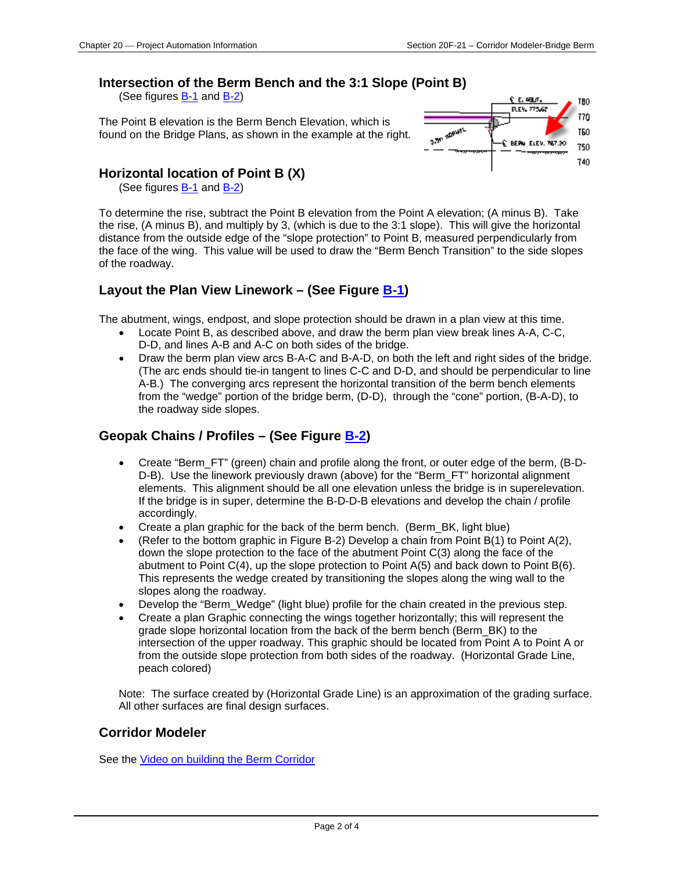#### **Intersection of the Berm Bench and the 3:1 Slope (Point B)**

(See figures [B-1](#page-2-0) and [B-2\)](#page-2-1)

The Point B elevation is the Berm Bench Elevation, which is found on the Bridge Plans, as shown in the example at the right.



#### **Horizontal location of Point B (X)**

(See figures **B-1** and **B-2**)

To determine the rise, subtract the Point B elevation from the Point A elevation; (A minus B). Take the rise, (A minus B), and multiply by 3, (which is due to the 3:1 slope). This will give the horizontal distance from the outside edge of the "slope protection" to Point B, measured perpendicularly from the face of the wing. This value will be used to draw the "Berm Bench Transition" to the side slopes of the roadway.

#### **Layout the Plan View Linework – (See Figure [B-1\)](#page-2-0)**

The abutment, wings, endpost, and slope protection should be drawn in a plan view at this time.

- Locate Point B, as described above, and draw the berm plan view break lines A-A, C-C, D-D, and lines A-B and A-C on both sides of the bridge.
- Draw the berm plan view arcs B-A-C and B-A-D, on both the left and right sides of the bridge. (The arc ends should tie-in tangent to lines C-C and D-D, and should be perpendicular to line A-B.) The converging arcs represent the horizontal transition of the berm bench elements from the "wedge" portion of the bridge berm, (D-D), through the "cone" portion, (B-A-D), to the roadway side slopes.

#### **Geopak Chains / Profiles – (See Figure [B-2\)](#page-2-1)**

- Create "Berm\_FT" (green) chain and profile along the front, or outer edge of the berm, (B-D-D-B). Use the linework previously drawn (above) for the "Berm\_FT" horizontal alignment elements. This alignment should be all one elevation unless the bridge is in superelevation. If the bridge is in super, determine the B-D-D-B elevations and develop the chain / profile accordingly.
- Create a plan graphic for the back of the berm bench. (Berm\_BK, light blue)
- (Refer to the bottom graphic in Figure B-2) Develop a chain from Point B(1) to Point A(2), down the slope protection to the face of the abutment Point C(3) along the face of the abutment to Point C(4), up the slope protection to Point A(5) and back down to Point B(6). This represents the wedge created by transitioning the slopes along the wing wall to the slopes along the roadway.
- Develop the "Berm\_Wedge" (light blue) profile for the chain created in the previous step.
- Create a plan Graphic connecting the wings together horizontally; this will represent the grade slope horizontal location from the back of the berm bench (Berm\_BK) to the intersection of the upper roadway. This graphic should be located from Point A to Point A or from the outside slope protection from both sides of the roadway. (Horizontal Grade Line, peach colored)

Note: The surface created by (Horizontal Grade Line) is an approximation of the grading surface. All other surfaces are final design surfaces.

#### **Corridor Modeler**

See the Video on building the Berm Corridor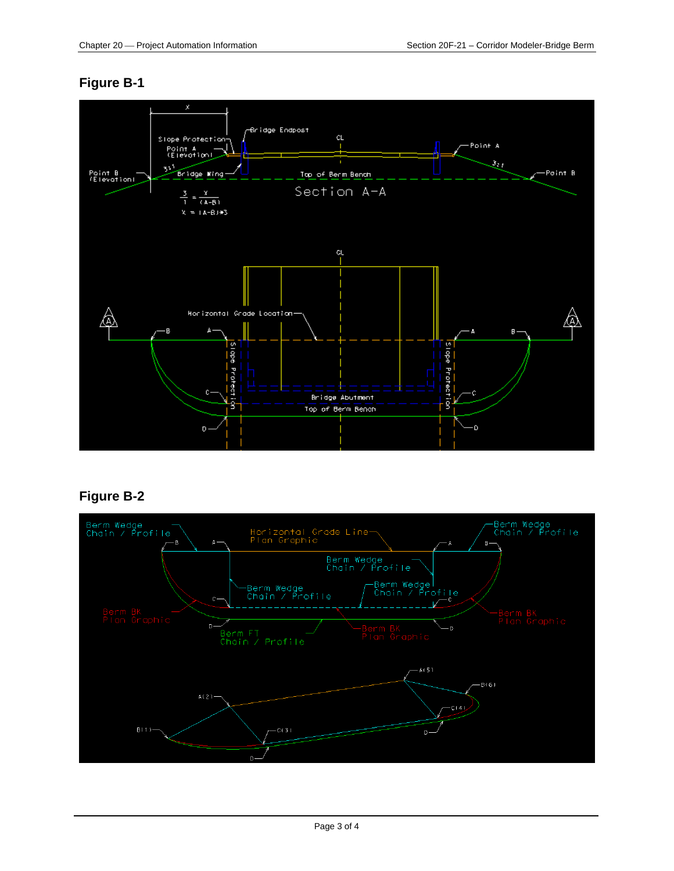#### <span id="page-2-0"></span>**Figure B-1**



#### <span id="page-2-1"></span>**Figure B-2**

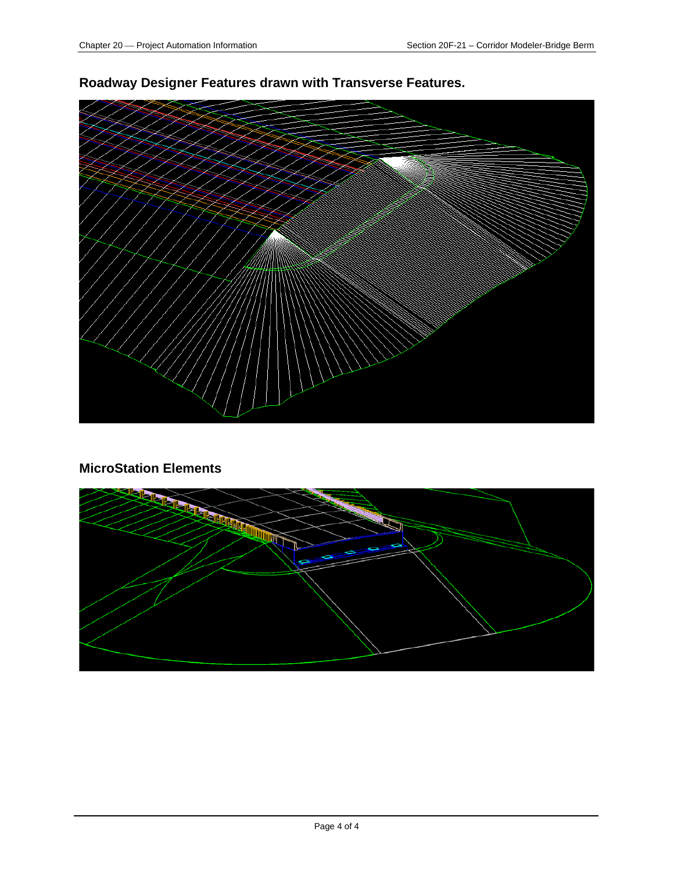

#### **Roadway Designer Features drawn with Transverse Features.**

#### **MicroStation Elements**